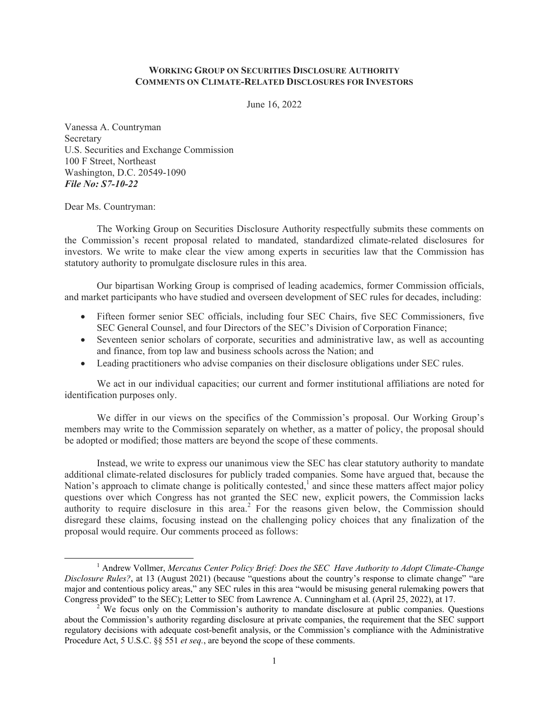### **WORKING GROUP ON SECURITIES DISCLOSURE AUTHORITY COMMENTS ON CLIMATE-RELATED DISCLOSURES FOR INVESTORS**

June 16, 2022

Vanessa A. Countryman Secretary U.S. Securities and Exchange Commission 100 F Street, Northeast Washington, D.C. 20549-1090 *File No: S7-10-22* 

Dear Ms. Countryman:

The Working Group on Securities Disclosure Authority respectfully submits these comments on the Commission's recent proposal related to mandated, standardized climate-related disclosures for investors. We write to make clear the view among experts in securities law that the Commission has statutory authority to promulgate disclosure rules in this area.

 Our bipartisan Working Group is comprised of leading academics, former Commission officials, and market participants who have studied and overseen development of SEC rules for decades, including:

- Fifteen former senior SEC officials, including four SEC Chairs, five SEC Commissioners, five SEC General Counsel, and four Directors of the SEC's Division of Corporation Finance;
- Seventeen senior scholars of corporate, securities and administrative law, as well as accounting and finance, from top law and business schools across the Nation; and
- Leading practitioners who advise companies on their disclosure obligations under SEC rules.

We act in our individual capacities; our current and former institutional affiliations are noted for identification purposes only.

We differ in our views on the specifics of the Commission's proposal. Our Working Group's members may write to the Commission separately on whether, as a matter of policy, the proposal should be adopted or modified; those matters are beyond the scope of these comments.

Instead, we write to express our unanimous view the SEC has clear statutory authority to mandate additional climate-related disclosures for publicly traded companies. Some have argued that, because the Nation's approach to climate change is politically contested,<sup>1</sup> and since these matters affect major policy questions over which Congress has not granted the SEC new, explicit powers, the Commission lacks authority to require disclosure in this area.<sup>2</sup> For the reasons given below, the Commission should disregard these claims, focusing instead on the challenging policy choices that any finalization of the proposal would require. Our comments proceed as follows:

 <sup>1</sup> Andrew Vollmer, *Mercatus Center Policy Brief: Does the SEC Have Authority to Adopt Climate-Change Disclosure Rules?*, at 13 (August 2021) (because "questions about the country's response to climate change" "are major and contentious policy areas," any SEC rules in this area "would be misusing general rulemaking powers that Congress provided" to the SEC); Letter to SEC from Lawrence A. Cunningham et al. (April 25, 2022), at 17. 2

<sup>&</sup>lt;sup>2</sup> We focus only on the Commission's authority to mandate disclosure at public companies. Questions about the Commission's authority regarding disclosure at private companies, the requirement that the SEC support regulatory decisions with adequate cost-benefit analysis, or the Commission's compliance with the Administrative Procedure Act, 5 U.S.C. §§ 551 *et seq.*, are beyond the scope of these comments.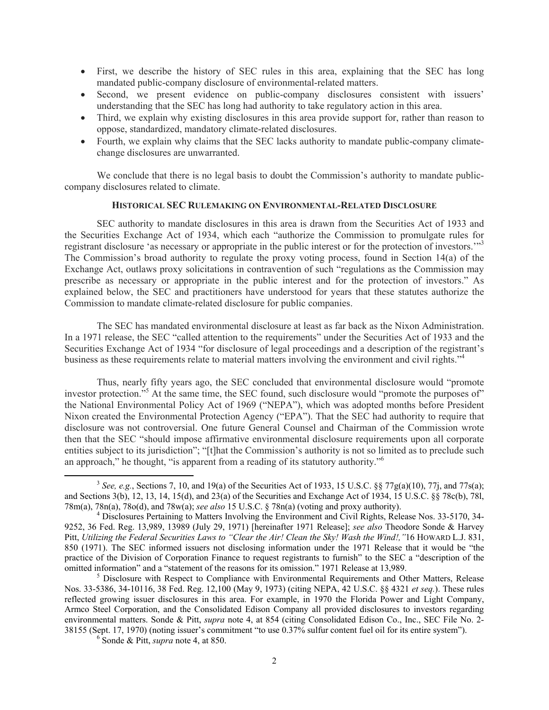- First, we describe the history of SEC rules in this area, explaining that the SEC has long mandated public-company disclosure of environmental-related matters.
- Second, we present evidence on public-company disclosures consistent with issuers' understanding that the SEC has long had authority to take regulatory action in this area.
- Third, we explain why existing disclosures in this area provide support for, rather than reason to oppose, standardized, mandatory climate-related disclosures.
- Fourth, we explain why claims that the SEC lacks authority to mandate public-company climatechange disclosures are unwarranted.

We conclude that there is no legal basis to doubt the Commission's authority to mandate publiccompany disclosures related to climate.

# **HISTORICAL SEC RULEMAKING ON ENVIRONMENTAL-RELATED DISCLOSURE**

 SEC authority to mandate disclosures in this area is drawn from the Securities Act of 1933 and the Securities Exchange Act of 1934, which each "authorize the Commission to promulgate rules for registrant disclosure 'as necessary or appropriate in the public interest or for the protection of investors."<sup>3</sup> The Commission's broad authority to regulate the proxy voting process, found in Section 14(a) of the Exchange Act, outlaws proxy solicitations in contravention of such "regulations as the Commission may prescribe as necessary or appropriate in the public interest and for the protection of investors." As explained below, the SEC and practitioners have understood for years that these statutes authorize the Commission to mandate climate-related disclosure for public companies.

The SEC has mandated environmental disclosure at least as far back as the Nixon Administration. In a 1971 release, the SEC "called attention to the requirements" under the Securities Act of 1933 and the Securities Exchange Act of 1934 "for disclosure of legal proceedings and a description of the registrant's business as these requirements relate to material matters involving the environment and civil rights."<sup>4</sup>

 Thus, nearly fifty years ago, the SEC concluded that environmental disclosure would "promote investor protection."<sup>5</sup> At the same time, the SEC found, such disclosure would "promote the purposes of" the National Environmental Policy Act of 1969 ("NEPA"), which was adopted months before President Nixon created the Environmental Protection Agency ("EPA"). That the SEC had authority to require that disclosure was not controversial. One future General Counsel and Chairman of the Commission wrote then that the SEC "should impose affirmative environmental disclosure requirements upon all corporate entities subject to its jurisdiction"; "[t]hat the Commission's authority is not so limited as to preclude such an approach," he thought, "is apparent from a reading of its statutory authority."6

Sonde & Pitt, *supra* note 4, at 850.

<sup>&</sup>lt;sup>3</sup> *See, e.g.*, Sections 7, 10, and 19(a) of the Securities Act of 1933, 15 U.S.C. §§ 77g(a)(10), 77j, and 77s(a); and Sections 3(b), 12, 13, 14, 15(d), and 23(a) of the Securities and Exchange Act of 1934, 15 U.S.C. §§ 78c(b), 78l, 78m(a), 78n(a), 78o(d), and 78w(a); *see also* 15 U.S.C. § 78n(a) (voting and proxy authority). 4

Disclosures Pertaining to Matters Involving the Environment and Civil Rights, Release Nos. 33-5170, 34- 9252, 36 Fed. Reg. 13,989, 13989 (July 29, 1971) [hereinafter 1971 Release]; *see also* Theodore Sonde & Harvey Pitt, *Utilizing the Federal Securities Laws to "Clear the Air! Clean the Sky! Wash the Wind!,"*16 HOWARD L.J. 831, 850 (1971). The SEC informed issuers not disclosing information under the 1971 Release that it would be "the practice of the Division of Corporation Finance to request registrants to furnish" to the SEC a "description of the omitted information" and a "statement of the reasons for its omission." 1971 Release at 13,989.

 $<sup>5</sup>$  Disclosure with Respect to Compliance with Environmental Requirements and Other Matters, Release</sup> Nos. 33-5386, 34-10116, 38 Fed. Reg. 12,100 (May 9, 1973) (citing NEPA, 42 U.S.C. §§ 4321 *et seq.*). These rules reflected growing issuer disclosures in this area. For example, in 1970 the Florida Power and Light Company, Armco Steel Corporation, and the Consolidated Edison Company all provided disclosures to investors regarding environmental matters. Sonde & Pitt, *supra* note 4, at 854 (citing Consolidated Edison Co., Inc., SEC File No. 2- 38155 (Sept. 17, 1970) (noting issuer's commitment "to use 0.37% sulfur content fuel oil for its entire system"). 6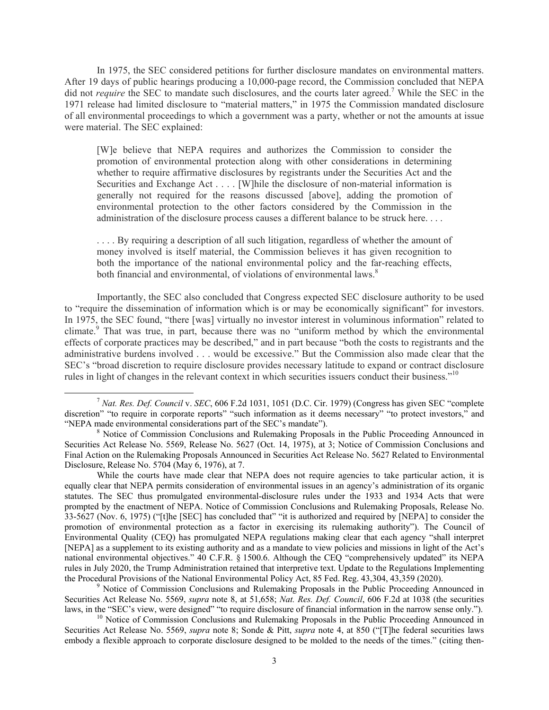In 1975, the SEC considered petitions for further disclosure mandates on environmental matters. After 19 days of public hearings producing a 10,000-page record, the Commission concluded that NEPA did not *require* the SEC to mandate such disclosures, and the courts later agreed.<sup>7</sup> While the SEC in the 1971 release had limited disclosure to "material matters," in 1975 the Commission mandated disclosure of all environmental proceedings to which a government was a party, whether or not the amounts at issue were material. The SEC explained:

[W]e believe that NEPA requires and authorizes the Commission to consider the promotion of environmental protection along with other considerations in determining whether to require affirmative disclosures by registrants under the Securities Act and the Securities and Exchange Act . . . . [W]hile the disclosure of non-material information is generally not required for the reasons discussed [above], adding the promotion of environmental protection to the other factors considered by the Commission in the administration of the disclosure process causes a different balance to be struck here. . . .

. . . . By requiring a description of all such litigation, regardless of whether the amount of money involved is itself material, the Commission believes it has given recognition to both the importance of the national environmental policy and the far-reaching effects, both financial and environmental, of violations of environmental laws.<sup>8</sup>

 Importantly, the SEC also concluded that Congress expected SEC disclosure authority to be used to "require the dissemination of information which is or may be economically significant" for investors. In 1975, the SEC found, "there [was] virtually no investor interest in voluminous information" related to climate.<sup>9</sup> That was true, in part, because there was no "uniform method by which the environmental effects of corporate practices may be described," and in part because "both the costs to registrants and the administrative burdens involved . . . would be excessive." But the Commission also made clear that the SEC's "broad discretion to require disclosure provides necessary latitude to expand or contract disclosure rules in light of changes in the relevant context in which securities issuers conduct their business."<sup>10</sup>

<sup>9</sup> Notice of Commission Conclusions and Rulemaking Proposals in the Public Proceeding Announced in Securities Act Release No. 5569, *supra* note 8, at 51,658; *Nat. Res. Def. Council*, 606 F.2d at 1038 (the securities laws, in the "SEC's view, were designed" "to require disclosure of financial information in the narrow sense only."). <sup>10</sup> Notice of Commission Conclusions and Rulemaking Proposals in the Public Proceeding Announced in

Securities Act Release No. 5569, *supra* note 8; Sonde & Pitt, *supra* note 4, at 850 ("[T]he federal securities laws embody a flexible approach to corporate disclosure designed to be molded to the needs of the times." (citing then-

 <sup>7</sup> *Nat. Res. Def. Council* v. *SEC*, 606 F.2d 1031, 1051 (D.C. Cir. 1979) (Congress has given SEC "complete discretion" "to require in corporate reports" "such information as it deems necessary" "to protect investors," and "NEPA made environmental considerations part of the SEC's mandate").

 $8$  Notice of Commission Conclusions and Rulemaking Proposals in the Public Proceeding Announced in Securities Act Release No. 5569, Release No. 5627 (Oct. 14, 1975), at 3; Notice of Commission Conclusions and Final Action on the Rulemaking Proposals Announced in Securities Act Release No. 5627 Related to Environmental Disclosure, Release No. 5704 (May 6, 1976), at 7.

While the courts have made clear that NEPA does not require agencies to take particular action, it is equally clear that NEPA permits consideration of environmental issues in an agency's administration of its organic statutes. The SEC thus promulgated environmental-disclosure rules under the 1933 and 1934 Acts that were prompted by the enactment of NEPA. Notice of Commission Conclusions and Rulemaking Proposals, Release No. 33-5627 (Nov. 6, 1975) ("[t]he [SEC] has concluded that" "it is authorized and required by [NEPA] to consider the promotion of environmental protection as a factor in exercising its rulemaking authority"). The Council of Environmental Quality (CEQ) has promulgated NEPA regulations making clear that each agency "shall interpret [NEPA] as a supplement to its existing authority and as a mandate to view policies and missions in light of the Act's national environmental objectives." 40 C.F.R. § 1500.6. Although the CEQ "comprehensively updated" its NEPA rules in July 2020, the Trump Administration retained that interpretive text. Update to the Regulations Implementing the Procedural Provisions of the National Environmental Policy Act, 85 Fed. Reg. 43,304, 43,359 (2020).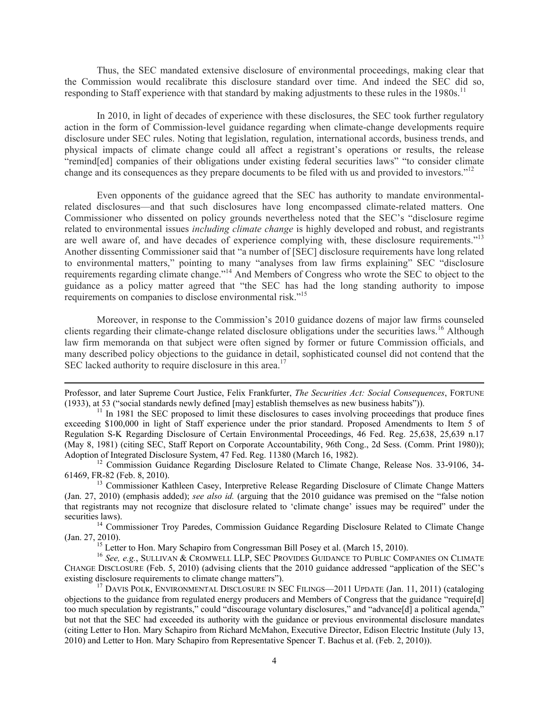Thus, the SEC mandated extensive disclosure of environmental proceedings, making clear that the Commission would recalibrate this disclosure standard over time. And indeed the SEC did so, responding to Staff experience with that standard by making adjustments to these rules in the  $1980s$ .<sup>11</sup>

In 2010, in light of decades of experience with these disclosures, the SEC took further regulatory action in the form of Commission-level guidance regarding when climate-change developments require disclosure under SEC rules. Noting that legislation, regulation, international accords, business trends, and physical impacts of climate change could all affect a registrant's operations or results, the release "remind[ed] companies of their obligations under existing federal securities laws" "to consider climate change and its consequences as they prepare documents to be filed with us and provided to investors."<sup>12</sup>

 Even opponents of the guidance agreed that the SEC has authority to mandate environmentalrelated disclosures—and that such disclosures have long encompassed climate-related matters. One Commissioner who dissented on policy grounds nevertheless noted that the SEC's "disclosure regime related to environmental issues *including climate change* is highly developed and robust, and registrants are well aware of, and have decades of experience complying with, these disclosure requirements."<sup>13</sup> Another dissenting Commissioner said that "a number of [SEC] disclosure requirements have long related to environmental matters," pointing to many "analyses from law firms explaining" SEC "disclosure requirements regarding climate change."14 And Members of Congress who wrote the SEC to object to the guidance as a policy matter agreed that "the SEC has had the long standing authority to impose requirements on companies to disclose environmental risk."<sup>15</sup>

 Moreover, in response to the Commission's 2010 guidance dozens of major law firms counseled clients regarding their climate-change related disclosure obligations under the securities laws.<sup>16</sup> Although law firm memoranda on that subject were often signed by former or future Commission officials, and many described policy objections to the guidance in detail, sophisticated counsel did not contend that the SEC lacked authority to require disclosure in this area.<sup>17</sup>

61469, FR-82 (Feb. 8, 2010). 13 Commissioner Kathleen Casey, Interpretive Release Regarding Disclosure of Climate Change Matters

(Jan. 27, 2010) (emphasis added); *see also id.* (arguing that the 2010 guidance was premised on the "false notion that registrants may not recognize that disclosure related to 'climate change' issues may be required" under the

securities laws). <sup>14</sup> Commissioner Troy Paredes, Commission Guidance Regarding Disclosure Related to Climate Change (Jan. 27, 2010).<br><sup>15</sup> Letter to Hon. Mary Schapiro from Congressman Bill Posey et al. (March 15, 2010).

<sup>16</sup> See, e.g., SULLIVAN & CROMWELL LLP, SEC PROVIDES GUIDANCE TO PUBLIC COMPANIES ON CLIMATE CHANGE DISCLOSURE (Feb. 5, 2010) (advising clients that the 2010 guidance addressed "application of the SEC's existing disclosure requirements to climate change matters").<br><sup>17</sup> DAVIS POLK, ENVIRONMENTAL DISCLOSURE IN SEC FILINGS—2011 UPDATE (Jan. 11, 2011) (cataloging

objections to the guidance from regulated energy producers and Members of Congress that the guidance "require[d] too much speculation by registrants," could "discourage voluntary disclosures," and "advance[d] a political agenda," but not that the SEC had exceeded its authority with the guidance or previous environmental disclosure mandates (citing Letter to Hon. Mary Schapiro from Richard McMahon, Executive Director, Edison Electric Institute (July 13, 2010) and Letter to Hon. Mary Schapiro from Representative Spencer T. Bachus et al. (Feb. 2, 2010)).

<sup>&</sup>lt;u> Andrewski politika (za obrazu pod predsjednika u predsjednika u predsjednika u predsjednika (za obrazu pod p</u> Professor, and later Supreme Court Justice, Felix Frankfurter, *The Securities Act: Social Consequences*, FORTUNE (1933), at 53 ("social standards newly defined [may] establish themselves as new business habits")).<br><sup>11</sup> In 1981 the SEC proposed to limit these disclosures to cases involving proceedings that produce fines

exceeding \$100,000 in light of Staff experience under the prior standard. Proposed Amendments to Item 5 of Regulation S-K Regarding Disclosure of Certain Environmental Proceedings, 46 Fed. Reg. 25,638, 25,639 n.17 (May 8, 1981) (citing SEC, Staff Report on Corporate Accountability, 96th Cong., 2d Sess. (Comm. Print 1980)); Adoption of Integrated Disclosure System, 47 Fed. Reg. 11380 (March 16, 1982).<br><sup>12</sup> Commission Guidance Regarding Disclosure Related to Climate Change, Release Nos. 33-9106, 34-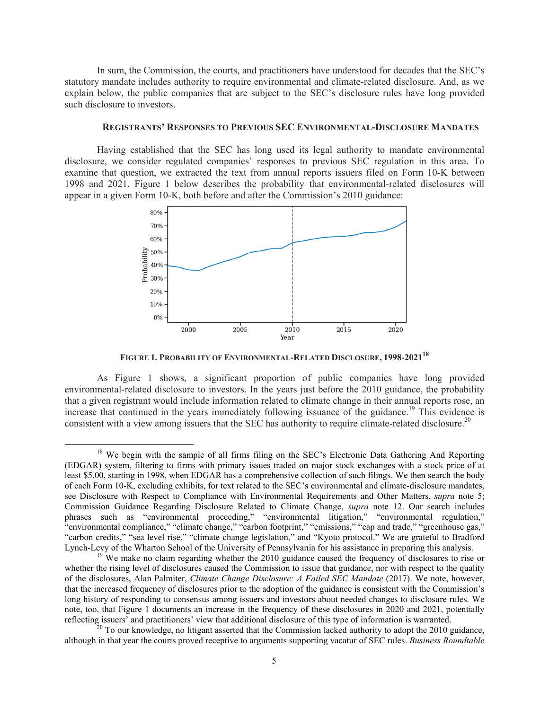In sum, the Commission, the courts, and practitioners have understood for decades that the SEC's statutory mandate includes authority to require environmental and climate-related disclosure. And, as we explain below, the public companies that are subject to the SEC's disclosure rules have long provided such disclosure to investors.

#### **REGISTRANTS' RESPONSES TO PREVIOUS SEC ENVIRONMENTAL-DISCLOSURE MANDATES**

Having established that the SEC has long used its legal authority to mandate environmental disclosure, we consider regulated companies' responses to previous SEC regulation in this area. To examine that question, we extracted the text from annual reports issuers filed on Form 10-K between 1998 and 2021. Figure 1 below describes the probability that environmental-related disclosures will appear in a given Form 10-K, both before and after the Commission's 2010 guidance:



**FIGURE 1 1. PROBABILIT Y OF ENVIRON NMENTAL-REL LATED DISCLO OSURE, 1998-20 02118**

As Figure 1 shows, a significant proportion of public companies have long provided environmental-related disclosure to investors. In the years just before the 2010 guidance, the probability that a given registrant would include information related to climate change in their annual reports rose, an increase that continued in the years immediately following issuance of the guidance.<sup>19</sup> This evidence is consistent with a view among issuers that the SEC has authority to require climate-related disclosure.<sup>20</sup>

 $\overline{\phantom{a}}$ 

 <sup>18</sup> (EDGAR) system, filtering to firms with primary issues traded on major stock exchanges with a stock price of at least \$5.00, starting in 1998, when EDGAR has a comprehensive collection of such filings. We then search the body of each Form 10-K, excluding exhibits, for text related to the SEC's environmental and climate-disclosure mandates, see Disclosure with Respect to Compliance with Environmental Requirements and Other Matters, *supra* note 5; Commission Guidance Regarding Disclosure Related to Climate Change, *supra* note 12. Our search includes phrases such as "environmental proceeding," "environmental litigation," "environmental regulation," "environmental compliance," "climate change," "carbon footprint," "emissions," "cap and trade," "greenhouse gas," "carbon credits," "sea level rise," "climate change legislation," and "Kyoto protocol." We are grateful to Bradford Lynch-Levy of the Wharton School of the University of Pennsylvania for his assistance in preparing this analysis. We begin with the sample of all firms filing on the SEC's Electronic Data Gathering And Reporting

<sup>&</sup>lt;sup>19</sup> We make no claim regarding whether the 2010 guidance caused the frequency of disclosures to rise or whether the rising level of disclosures caused the Commission to issue that guidance, nor with respect to the quality of the disclosures, Alan Palmiter, *Climate Change Disclosure: A Failed SEC Mandate* (2017). We note, however, that the increased frequency of disclosures prior to the adoption of the guidance is consistent with the Commission's long history of responding to consensus among issuers and investors about needed changes to disclosure rules. We note, too, that Figure 1 documents an increase in the frequency of these disclosures in 2020 and 2021, potentially reflecting issuers' and practitioners' view that additional disclosure of this type of information is warranted.

 $20$  To our knowledge, no litigant asserted that the Commission lacked authority to adopt the 2010 guidance, although in that year the courts proved receptive to arguments supporting vacatur of SEC rules. *Business Roundtable*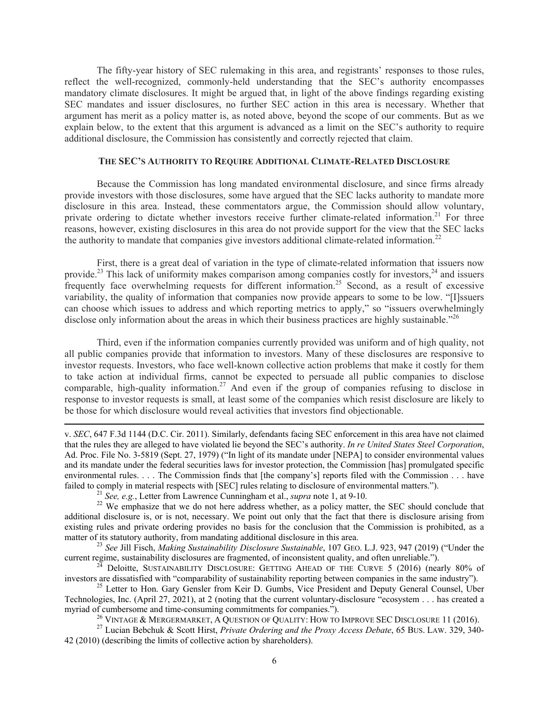The fifty-year history of SEC rulemaking in this area, and registrants' responses to those rules, reflect the well-recognized, commonly-held understanding that the SEC's authority encompasses mandatory climate disclosures. It might be argued that, in light of the above findings regarding existing SEC mandates and issuer disclosures, no further SEC action in this area is necessary. Whether that argument has merit as a policy matter is, as noted above, beyond the scope of our comments. But as we explain below, to the extent that this argument is advanced as a limit on the SEC's authority to require additional disclosure, the Commission has consistently and correctly rejected that claim.

#### **THE SEC'S AUTHORITY TO REQUIRE ADDITIONAL CLIMATE-RELATED DISCLOSURE**

Because the Commission has long mandated environmental disclosure, and since firms already provide investors with those disclosures, some have argued that the SEC lacks authority to mandate more disclosure in this area. Instead, these commentators argue, the Commission should allow voluntary, private ordering to dictate whether investors receive further climate-related information.<sup>21</sup> For three reasons, however, existing disclosures in this area do not provide support for the view that the SEC lacks the authority to mandate that companies give investors additional climate-related information.<sup>22</sup>

First, there is a great deal of variation in the type of climate-related information that issuers now provide.<sup>23</sup> This lack of uniformity makes comparison among companies costly for investors,<sup>24</sup> and issuers frequently face overwhelming requests for different information.25 Second, as a result of excessive variability, the quality of information that companies now provide appears to some to be low. "[I]ssuers can choose which issues to address and which reporting metrics to apply," so "issuers overwhelmingly disclose only information about the areas in which their business practices are highly sustainable."<sup>26</sup>

Third, even if the information companies currently provided was uniform and of high quality, not all public companies provide that information to investors. Many of these disclosures are responsive to investor requests. Investors, who face well-known collective action problems that make it costly for them to take action at individual firms, cannot be expected to persuade all public companies to disclose comparable, high-quality information.<sup>27</sup> And even if the group of companies refusing to disclose in response to investor requests is small, at least some of the companies which resist disclosure are likely to be those for which disclosure would reveal activities that investors find objectionable.

v. *SEC*, 647 F.3d 1144 (D.C. Cir. 2011). Similarly, defendants facing SEC enforcement in this area have not claimed that the rules they are alleged to have violated lie beyond the SEC's authority. *In re United States Steel Corporation*, Ad. Proc. File No. 3-5819 (Sept. 27, 1979) ("In light of its mandate under [NEPA] to consider environmental values and its mandate under the federal securities laws for investor protection, the Commission [has] promulgated specific environmental rules. . . . The Commission finds that [the company's] reports filed with the Commission . . . have failed to comply in material respects with [SEC] rules relating to disclosure of environmental matters.").<br><sup>21</sup> See, e.g., Letter from Lawrence Cunningham et al., *supra* note 1, at 9-10.<br><sup>22</sup> We emphasize that we do not

<u> 1989 - Johann Stoff, fransk politik (d. 1989)</u>

additional disclosure is, or is not, necessary. We point out only that the fact that there is disclosure arising from existing rules and private ordering provides no basis for the conclusion that the Commission is prohibited, as a

matter of its statutory authority, from mandating additional disclosure in this area.<br><sup>23</sup> *See Jill Fisch, Making Sustainability Disclosure Sustainable*, 107 GEO. L.J. 923, 947 (2019) ("Under the current regime, sustainab

<sup>&</sup>lt;sup>24</sup> Deloitte, SUSTAINABILITY DISCLOSURE: GETTING AHEAD OF THE CURVE 5 (2016) (nearly 80% of investors are dissatisfied with "comparability of sustainability reporting between companies in the same industry").

<sup>&</sup>lt;sup>25</sup> Letter to Hon. Gary Gensler from Keir D. Gumbs, Vice President and Deputy General Counsel, Uber Technologies, Inc. (April 27, 2021), at 2 (noting that the current voluntary-disclosure "ecosystem . . . has created a myriad of cumbersome and time-consuming commitments for companies.").<br><sup>26</sup> VINTAGE & MERGERMARKET, A QUESTION OF QUALITY: HOW TO IMPROVE SEC DISCLOSURE 11 (2016).<br><sup>27</sup> Lucian Bebchuk & Scott Hirst, *Private Ordering and th* 

<sup>42 (2010) (</sup>describing the limits of collective action by shareholders).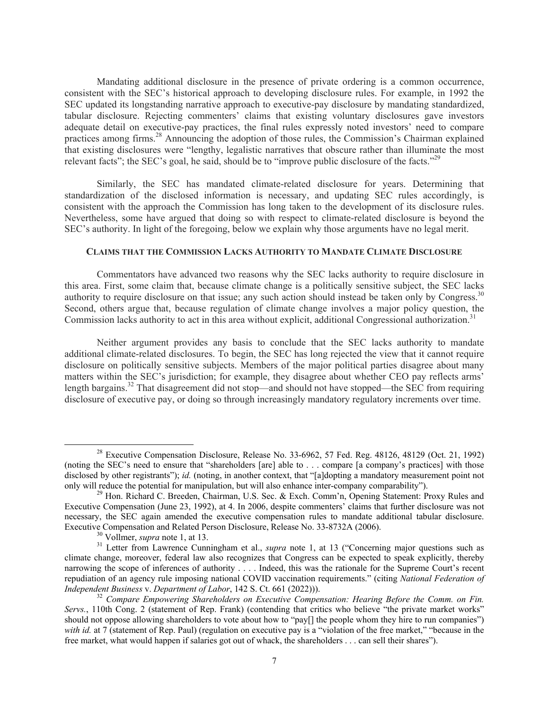Mandating additional disclosure in the presence of private ordering is a common occurrence, consistent with the SEC's historical approach to developing disclosure rules. For example, in 1992 the SEC updated its longstanding narrative approach to executive-pay disclosure by mandating standardized, tabular disclosure. Rejecting commenters' claims that existing voluntary disclosures gave investors adequate detail on executive-pay practices, the final rules expressly noted investors' need to compare practices among firms.<sup>28</sup> Announcing the adoption of those rules, the Commission's Chairman explained that existing disclosures were "lengthy, legalistic narratives that obscure rather than illuminate the most relevant facts"; the SEC's goal, he said, should be to "improve public disclosure of the facts."<sup>29</sup>

Similarly, the SEC has mandated climate-related disclosure for years. Determining that standardization of the disclosed information is necessary, and updating SEC rules accordingly, is consistent with the approach the Commission has long taken to the development of its disclosure rules. Nevertheless, some have argued that doing so with respect to climate-related disclosure is beyond the SEC's authority. In light of the foregoing, below we explain why those arguments have no legal merit.

## **CLAIMS THAT THE COMMISSION LACKS AUTHORITY TO MANDATE CLIMATE DISCLOSURE**

Commentators have advanced two reasons why the SEC lacks authority to require disclosure in this area. First, some claim that, because climate change is a politically sensitive subject, the SEC lacks authority to require disclosure on that issue; any such action should instead be taken only by Congress.<sup>30</sup> Second, others argue that, because regulation of climate change involves a major policy question, the Commission lacks authority to act in this area without explicit, additional Congressional authorization.<sup>31</sup>

Neither argument provides any basis to conclude that the SEC lacks authority to mandate additional climate-related disclosures. To begin, the SEC has long rejected the view that it cannot require disclosure on politically sensitive subjects. Members of the major political parties disagree about many matters within the SEC's jurisdiction; for example, they disagree about whether CEO pay reflects arms' length bargains.<sup>32</sup> That disagreement did not stop—and should not have stopped—the SEC from requiring disclosure of executive pay, or doing so through increasingly mandatory regulatory increments over time.

<sup>&</sup>lt;sup>28</sup> Executive Compensation Disclosure, Release No. 33-6962, 57 Fed. Reg. 48126, 48129 (Oct. 21, 1992) (noting the SEC's need to ensure that "shareholders [are] able to . . . compare [a company's practices] with those disclosed by other registrants"); *id.* (noting, in another context, that "[a]dopting a mandatory measurement point not only will reduce the potential for manipulation, but will also enhance inter-company comparability").<br><sup>29</sup> Hon. Richard C. Breeden, Chairman, U.S. Sec. & Exch. Comm'n, Opening Statement: Proxy Rules and

Executive Compensation (June 23, 1992), at 4. In 2006, despite commenters' claims that further disclosure was not necessary, the SEC again amended the executive compensation rules to mandate additional tabular disclosure.<br>Executive Compensation and Related Person Disclosure, Release No. 33-8732A (2006).

<sup>&</sup>lt;sup>30</sup> Vollmer, *supra* note 1, at 13.<br><sup>31</sup> Letter from Lawrence Cunningham et al., *supra* note 1, at 13 ("Concerning major questions such as climate change, moreover, federal law also recognizes that Congress can be expected to speak explicitly, thereby narrowing the scope of inferences of authority . . . . Indeed, this was the rationale for the Supreme Court's recent repudiation of an agency rule imposing national COVID vaccination requirements." (citing *National Federation of* 

<sup>&</sup>lt;sup>32</sup> Compare Empowering Shareholders on Executive Compensation: Hearing Before the Comm. on Fin. *Servs.*, 110th Cong. 2 (statement of Rep. Frank) (contending that critics who believe "the private market works" should not oppose allowing shareholders to vote about how to "pay[] the people whom they hire to run companies") *with id.* at 7 (statement of Rep. Paul) (regulation on executive pay is a "violation of the free market," "because in the free market, what would happen if salaries got out of whack, the shareholders . . . can sell their shares").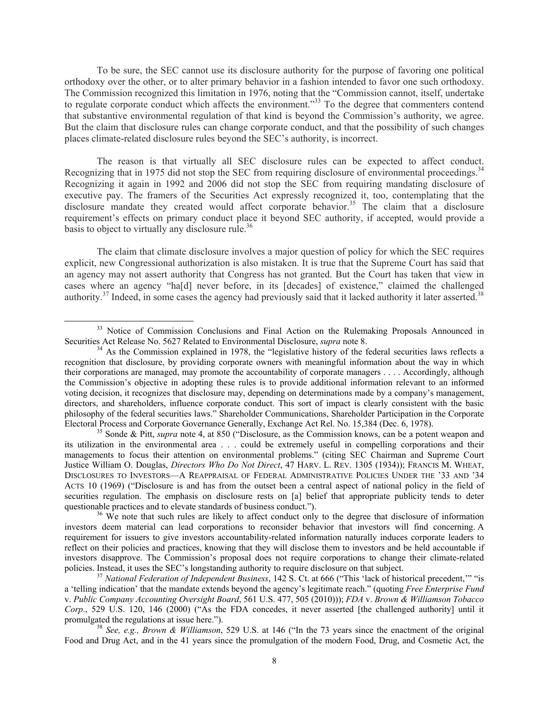To be sure, the SEC cannot use its disclosure authority for the purpose of favoring one political orthodoxy over the other, or to alter primary behavior in a fashion intended to favor one such orthodoxy. The Commission recognized this limitation in 1976, noting that the "Commission cannot, itself, undertake to regulate corporate conduct which affects the environment."<sup>33</sup> To the degree that commenters contend that substantive environmental regulation of that kind is beyond the Commission's authority, we agree. But the claim that disclosure rules can change corporate conduct, and that the possibility of such changes places climate-related disclosure rules beyond the SEC's authority, is incorrect.

The reason is that virtually all SEC disclosure rules can be expected to affect conduct. Recognizing that in 1975 did not stop the SEC from requiring disclosure of environmental proceedings.<sup>34</sup> Recognizing it again in 1992 and 2006 did not stop the SEC from requiring mandating disclosure of executive pay. The framers of the Securities Act expressly recognized it, too, contemplating that the disclosure mandate they created would affect corporate behavior.<sup>35</sup> The claim that a disclosure requirement's effects on primary conduct place it beyond SEC authority, if accepted, would provide a basis to object to virtually any disclosure rule.<sup>36</sup>

The claim that climate disclosure involves a major question of policy for which the SEC requires explicit, new Congressional authorization is also mistaken. It is true that the Supreme Court has said that an agency may not assert authority that Congress has not granted. But the Court has taken that view in cases where an agency "ha[d] never before, in its [decades] of existence," claimed the challenged authority.<sup>37</sup> Indeed, in some cases the agency had previously said that it lacked authority it later asserted.<sup>38</sup>

<sup>&</sup>lt;sup>33</sup> Notice of Commission Conclusions and Final Action on the Rulemaking Proposals Announced in Securities Act Release No. 5627 Related to Environmental Disclosure, *supra* note 8.<br><sup>34</sup> As the Commission explained in 1978, the "legislative history of the federal securities laws reflects a

recognition that disclosure, by providing corporate owners with meaningful information about the way in which their corporations are managed, may promote the accountability of corporate managers . . . . Accordingly, although the Commission's objective in adopting these rules is to provide additional information relevant to an informed voting decision, it recognizes that disclosure may, depending on determinations made by a company's management, directors, and shareholders, influence corporate conduct. This sort of impact is clearly consistent with the basic philosophy of the federal securities laws." Shareholder Communications, Shareholder Participation in the Corporate Electoral Process and Corporate Governance Generally, Exchange Act Rel. No. 15,384 (Dec. 6, 1978). 35 Sonde & Pitt, *supra* note 4, at 850 ("Disclosure, as the Commission knows, can be a potent weapon and

its utilization in the environmental area . . . could be extremely useful in compelling corporations and their managements to focus their attention on environmental problems." (citing SEC Chairman and Supreme Court Justice William O. Douglas, *Directors Who Do Not Direct*, 47 HARV. L. REV. 1305 (1934)); FRANCIS M. WHEAT, DISCLOSURES TO INVESTORS—A REAPPRAISAL OF FEDERAL ADMINISTRATIVE POLICIES UNDER THE '33 AND '34 ACTS 10 (1969) ("Disclosure is and has from the outset been a central aspect of national policy in the field of securities regulation. The emphasis on disclosure rests on [a] belief that appropriate publicity tends to deter questionable practices and to elevate standards of business conduct.").<br><sup>36</sup> We note that such rules are likely to affect conduct only to the degree that disclosure of information

investors deem material can lead corporations to reconsider behavior that investors will find concerning. A requirement for issuers to give investors accountability-related information naturally induces corporate leaders to reflect on their policies and practices, knowing that they will disclose them to investors and be held accountable if investors disapprove. The Commission's proposal does not require corporations to change their climate-related policies. Instead, it uses the SEC's longstanding authority to require disclosure on that subject. 37 *National Federation of Independent Business*, 142 S. Ct. at 666 ("This 'lack of historical precedent,'" "is

a 'telling indication' that the mandate extends beyond the agency's legitimate reach." (quoting *Free Enterprise Fund*  v. *Public Company Accounting Oversight Board*, 561 U.S. 477, 505 (2010))); *FDA* v. *Brown & Williamson Tobacco Corp*., 529 U.S. 120, 146 (2000) ("As the FDA concedes, it never asserted [the challenged authority] until it promulgated the regulations at issue here."). 38 *See, e.g., Brown & Williamson*, 529 U.S. at 146 ("In the 73 years since the enactment of the original

Food and Drug Act, and in the 41 years since the promulgation of the modern Food, Drug, and Cosmetic Act, the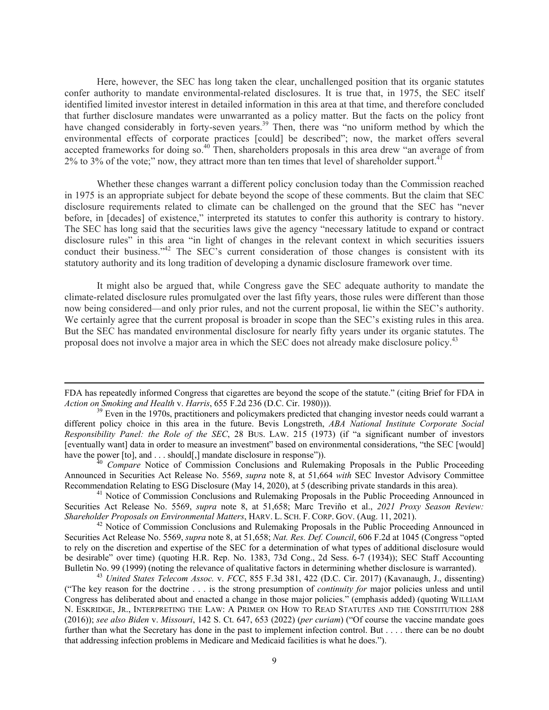Here, however, the SEC has long taken the clear, unchallenged position that its organic statutes confer authority to mandate environmental-related disclosures. It is true that, in 1975, the SEC itself identified limited investor interest in detailed information in this area at that time, and therefore concluded that further disclosure mandates were unwarranted as a policy matter. But the facts on the policy front have changed considerably in forty-seven years.<sup>39</sup> Then, there was "no uniform method by which the environmental effects of corporate practices [could] be described"; now, the market offers several accepted frameworks for doing so.<sup>40</sup> Then, shareholders proposals in this area drew "an average of from 2% to 3% of the vote;" now, they attract more than ten times that level of shareholder support.<sup>41</sup>

Whether these changes warrant a different policy conclusion today than the Commission reached in 1975 is an appropriate subject for debate beyond the scope of these comments. But the claim that SEC disclosure requirements related to climate can be challenged on the ground that the SEC has "never before, in [decades] of existence," interpreted its statutes to confer this authority is contrary to history. The SEC has long said that the securities laws give the agency "necessary latitude to expand or contract disclosure rules" in this area "in light of changes in the relevant context in which securities issuers conduct their business."<sup>42</sup> The SEC's current consideration of those changes is consistent with its statutory authority and its long tradition of developing a dynamic disclosure framework over time.

It might also be argued that, while Congress gave the SEC adequate authority to mandate the climate-related disclosure rules promulgated over the last fifty years, those rules were different than those now being considered—and only prior rules, and not the current proposal, lie within the SEC's authority. We certainly agree that the current proposal is broader in scope than the SEC's existing rules in this area. But the SEC has mandated environmental disclosure for nearly fifty years under its organic statutes. The proposal does not involve a major area in which the SEC does not already make disclosure policy.<sup>43</sup>

Announced in Securities Act Release No. 5569, *supra* note 8, at 51,664 *with* SEC Investor Advisory Committee Recommendation Relating to ESG Disclosure (May 14, 2020), at 5 (describing private standards in this area).<br><sup>41</sup> Notice of Commission Conclusions and Rulemaking Proposals in the Public Proceeding Announced in

Securities Act Release No. 5569, *supra* note 8, at 51,658; Marc Treviño et al., *2021 Proxy Season Review: Shareholder Proposals on Environmental Matters*, HARV. L. SCH. F. CORP. GOV. (Aug. 11, 2021).<br><sup>42</sup> Notice of Commission Conclusions and Rulemaking Proposals in the Public Proceeding Announced in

Securities Act Release No. 5569, *supra* note 8, at 51,658; *Nat. Res. Def. Council*, 606 F.2d at 1045 (Congress "opted to rely on the discretion and expertise of the SEC for a determination of what types of additional disclosure would be desirable" over time) (quoting H.R. Rep. No. 1383, 73d Cong., 2d Sess. 6-7 (1934)); SEC Staff Accounting Bulletin No. 99 (1999) (noting the relevance of qualitative factors in determining whether disclosure is warranted).<br><sup>43</sup> United States Telecom Assoc. v. FCC, 855 F.3d 381, 422 (D.C. Cir. 2017) (Kavanaugh, J., dissenting)

("The key reason for the doctrine . . . is the strong presumption of *continuity for* major policies unless and until Congress has deliberated about and enacted a change in those major policies." (emphasis added) (quoting WILLIAM N. ESKRIDGE, JR., INTERPRETING THE LAW: A PRIMER ON HOW TO READ STATUTES AND THE CONSTITUTION 288 (2016)); *see also Biden* v. *Missouri*, 142 S. Ct. 647, 653 (2022) (*per curiam*) ("Of course the vaccine mandate goes further than what the Secretary has done in the past to implement infection control. But . . . . there can be no doubt that addressing infection problems in Medicare and Medicaid facilities is what he does.").

<sup>&</sup>lt;u> 1989 - Johann Stoff, fransk politik (d. 1989)</u> FDA has repeatedly informed Congress that cigarettes are beyond the scope of the statute." (citing Brief for FDA in *Action on Smoking and Health v. Harris*, 655 F.2d 236 (D.C. Cir. 1980))).<br><sup>39</sup> Even in the 1970s, practitioners and policymakers predicted that changing investor needs could warrant a

different policy choice in this area in the future. Bevis Longstreth, *ABA National Institute Corporate Social Responsibility Panel: the Role of the SEC*, 28 BUS. LAW. 215 (1973) (if "a significant number of investors [eventually want] data in order to measure an investment" based on environmental considerations, "the SEC [would] have the power [to], and . . . should[,] mandate disclosure in response")).<br><sup>40</sup> *Compare* Notice of Commission Conclusions and Rulemaking Proposals in the Public Proceeding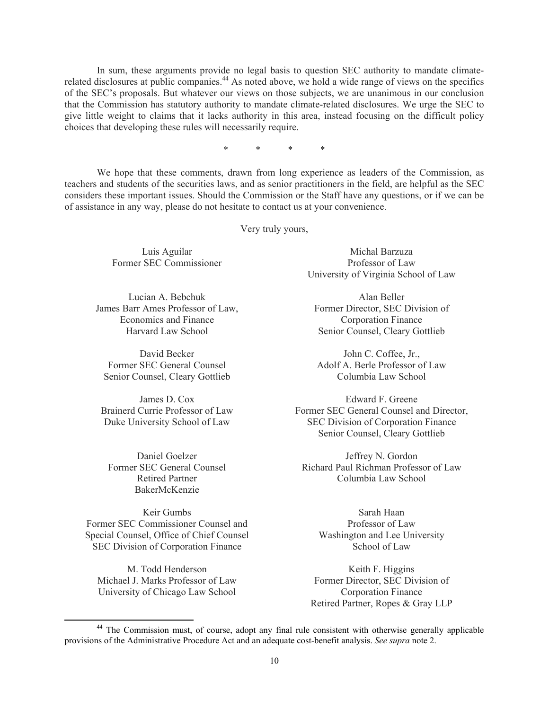In sum, these arguments provide no legal basis to question SEC authority to mandate climaterelated disclosures at public companies.<sup>44</sup> As noted above, we hold a wide range of views on the specifics of the SEC's proposals. But whatever our views on those subjects, we are unanimous in our conclusion that the Commission has statutory authority to mandate climate-related disclosures. We urge the SEC to give little weight to claims that it lacks authority in this area, instead focusing on the difficult policy choices that developing these rules will necessarily require.

\* \* \* \*

 We hope that these comments, drawn from long experience as leaders of the Commission, as teachers and students of the securities laws, and as senior practitioners in the field, are helpful as the SEC considers these important issues. Should the Commission or the Staff have any questions, or if we can be of assistance in any way, please do not hesitate to contact us at your convenience.

Very truly yours,

Luis Aguilar Former SEC Commissioner

Lucian A. Bebchuk James Barr Ames Professor of Law, Economics and Finance Harvard Law School

David Becker Former SEC General Counsel Senior Counsel, Cleary Gottlieb

James D. Cox Brainerd Currie Professor of Law Duke University School of Law

Daniel Goelzer Former SEC General Counsel Retired Partner BakerMcKenzie

Keir Gumbs Former SEC Commissioner Counsel and Special Counsel, Office of Chief Counsel SEC Division of Corporation Finance

M. Todd Henderson Michael J. Marks Professor of Law University of Chicago Law School

Michal Barzuza Professor of Law University of Virginia School of Law

Alan Beller Former Director, SEC Division of Corporation Finance Senior Counsel, Cleary Gottlieb

John C. Coffee, Jr., Adolf A. Berle Professor of Law Columbia Law School

Edward F. Greene Former SEC General Counsel and Director, SEC Division of Corporation Finance Senior Counsel, Cleary Gottlieb

Jeffrey N. Gordon Richard Paul Richman Professor of Law Columbia Law School

> Sarah Haan Professor of Law Washington and Lee University School of Law

Keith F. Higgins Former Director, SEC Division of Corporation Finance Retired Partner, Ropes & Gray LLP

<sup>&</sup>lt;sup>44</sup> The Commission must, of course, adopt any final rule consistent with otherwise generally applicable provisions of the Administrative Procedure Act and an adequate cost-benefit analysis. *See supra* note 2.